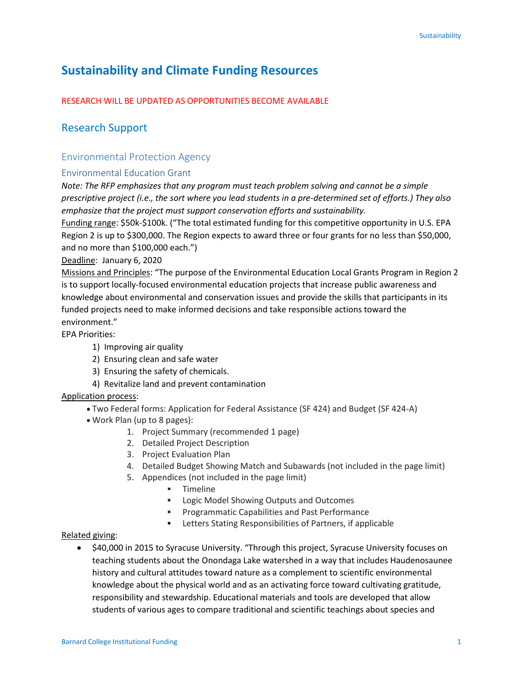# **Sustainability and Climate Funding Resources**

### RESEARCH WILL BE UPDATED AS OPPORTUNITIES BECOME AVAILABLE

# Research Support

## Environmental Protection Agency

#### Environmental Education Grant

*Note: The RFP emphasizes that any program must teach problem solving and cannot be a simple prescriptive project (i.e., the sort where you lead students in a pre-determined set of efforts.) They also emphasize that the project must support conservation efforts and sustainability.* 

Funding range: \$50k-\$100k. ("The total estimated funding for this competitive opportunity in U.S. EPA Region 2 is up to \$300,000. The Region expects to award three or four grants for no less than \$50,000, and no more than \$100,000 each.")

Deadline: January 6, 2020

Missions and Principles: "The purpose of the Environmental Education Local Grants Program in Region 2 is to support locally-focused environmental education projects that increase public awareness and knowledge about environmental and conservation issues and provide the skills that participants in its funded projects need to make informed decisions and take responsible actions toward the environment."

EPA Priorities:

- 1) Improving air quality
- 2) Ensuring clean and safe water
- 3) Ensuring the safety of chemicals.
- 4) Revitalize land and prevent contamination

#### Application process:

- Two Federal forms: Application for Federal Assistance (SF 424) and Budget (SF 424-A)
- Work Plan (up to 8 pages):
	- 1. Project Summary (recommended 1 page)
	- 2. Detailed Project Description
	- 3. Project Evaluation Plan
	- 4. Detailed Budget Showing Match and Subawards (not included in the page limit)
	- 5. Appendices (not included in the page limit)
		- **Timeline**
		- **EXECO IS Logic Model Showing Outputs and Outcomes**
		- **Programmatic Capabilities and Past Performance**
		- Letters Stating Responsibilities of Partners, if applicable

#### Related giving:

 \$40,000 in 2015 to Syracuse University. "Through this project, Syracuse University focuses on teaching students about the Onondaga Lake watershed in a way that includes Haudenosaunee history and cultural attitudes toward nature as a complement to scientific environmental knowledge about the physical world and as an activating force toward cultivating gratitude, responsibility and stewardship. Educational materials and tools are developed that allow students of various ages to compare traditional and scientific teachings about species and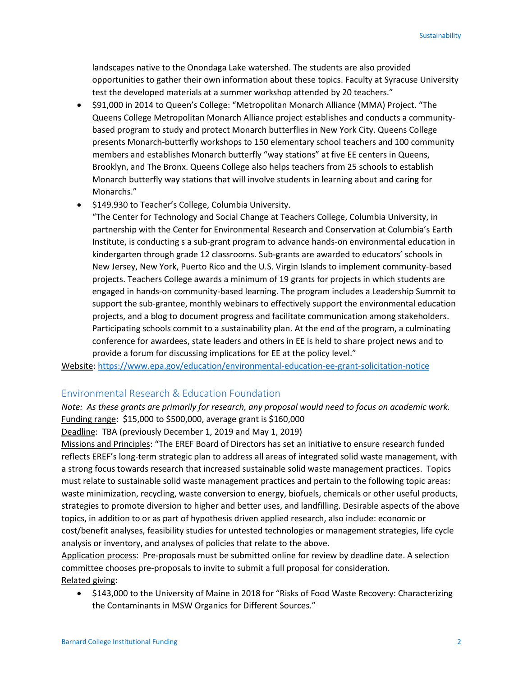landscapes native to the Onondaga Lake watershed. The students are also provided opportunities to gather their own information about these topics. Faculty at Syracuse University test the developed materials at a summer workshop attended by 20 teachers."

- \$91,000 in 2014 to Queen's College: "Metropolitan Monarch Alliance (MMA) Project. "The Queens College Metropolitan Monarch Alliance project establishes and conducts a communitybased program to study and protect Monarch butterflies in New York City. Queens College presents Monarch-butterfly workshops to 150 elementary school teachers and 100 community members and establishes Monarch butterfly "way stations" at five EE centers in Queens, Brooklyn, and The Bronx. Queens College also helps teachers from 25 schools to establish Monarch butterfly way stations that will involve students in learning about and caring for Monarchs."
- $\bullet$  \$149.930 to Teacher's College, Columbia University.
	- "The Center for Technology and Social Change at Teachers College, Columbia University, in partnership with the Center for Environmental Research and Conservation at Columbia's Earth Institute, is conducting s a sub-grant program to advance hands-on environmental education in kindergarten through grade 12 classrooms. Sub-grants are awarded to educators' schools in New Jersey, New York, Puerto Rico and the U.S. Virgin Islands to implement community-based projects. Teachers College awards a minimum of 19 grants for projects in which students are engaged in hands-on community-based learning. The program includes a Leadership Summit to support the sub-grantee, monthly webinars to effectively support the environmental education projects, and a blog to document progress and facilitate communication among stakeholders. Participating schools commit to a sustainability plan. At the end of the program, a culminating conference for awardees, state leaders and others in EE is held to share project news and to provide a forum for discussing implications for EE at the policy level."

Website[: https://www.epa.gov/education/environmental-education-ee-grant-solicitation-notice](https://www.epa.gov/education/environmental-education-ee-grant-solicitation-notice)

#### Environmental Research & Education Foundation

*Note: As these grants are primarily for research, any proposal would need to focus on academic work.* Funding range: \$15,000 to \$500,000, average grant is \$160,000

Deadline: TBA (previously December 1, 2019 and May 1, 2019)

Missions and Principles: "The EREF Board of Directors has set an initiative to ensure research funded reflects EREF's long-term strategic plan to address all areas of integrated solid waste management, with a strong focus towards research that increased sustainable solid waste management practices. Topics must relate to sustainable solid waste management practices and pertain to the following topic areas: waste minimization, recycling, waste conversion to energy, biofuels, chemicals or other useful products, strategies to promote diversion to higher and better uses, and landfilling. Desirable aspects of the above topics, in addition to or as part of hypothesis driven applied research, also include: economic or cost/benefit analyses, feasibility studies for untested technologies or management strategies, life cycle analysis or inventory, and analyses of policies that relate to the above.

Application process: Pre-proposals must be submitted online for review by deadline date. A selection committee chooses pre-proposals to invite to submit a full proposal for consideration. Related giving:

• \$143,000 to the University of Maine in 2018 for "Risks of Food Waste Recovery: Characterizing the Contaminants in MSW Organics for Different Sources."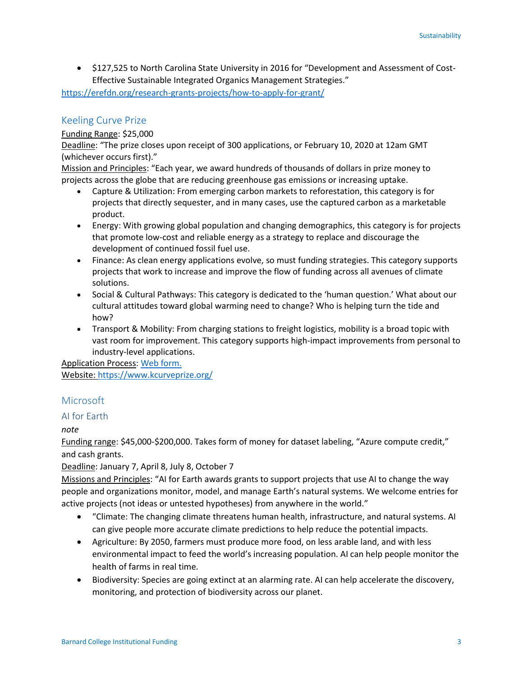\$127,525 to North Carolina State University in 2016 for "Development and Assessment of Cost-Effective Sustainable Integrated Organics Management Strategies."

<https://erefdn.org/research-grants-projects/how-to-apply-for-grant/>

# Keeling Curve Prize

#### Funding Range: \$25,000

Deadline: "The prize closes upon receipt of 300 applications, or February 10, 2020 at 12am GMT (whichever occurs first)."

Mission and Principles: "Each year, we award hundreds of thousands of dollars in prize money to projects across the globe that are reducing greenhouse gas emissions or increasing uptake.

- Capture & Utilization: From emerging carbon markets to reforestation, this category is for projects that directly sequester, and in many cases, use the captured carbon as a marketable product.
- Energy: With growing global population and changing demographics, this category is for projects that promote low-cost and reliable energy as a strategy to replace and discourage the development of continued fossil fuel use.
- Finance: As clean energy applications evolve, so must funding strategies. This category supports projects that work to increase and improve the flow of funding across all avenues of climate solutions.
- Social & Cultural Pathways: This category is dedicated to the 'human question.' What about our cultural attitudes toward global warming need to change? Who is helping turn the tide and how?
- Transport & Mobility: From charging stations to freight logistics, mobility is a broad topic with vast room for improvement. This category supports high-impact improvements from personal to industry-level applications.

Application Process[: Web form.](https://www.emailmeform.com/builder/form/27X8M75bPYGFf8) Website[: https://www.kcurveprize.org/](https://www.kcurveprize.org/)

# Microsoft

### AI for Earth

### *note*

Funding range: \$45,000-\$200,000. Takes form of money for dataset labeling, "Azure compute credit," and cash grants.

### Deadline: January 7, April 8, July 8, October 7

Missions and Principles: "AI for Earth awards grants to support projects that use AI to change the way people and organizations monitor, model, and manage Earth's natural systems. We welcome entries for active projects (not ideas or untested hypotheses) from anywhere in the world."

- "Climate: The changing climate threatens human health, infrastructure, and natural systems. AI can give people more accurate climate predictions to help reduce the potential impacts.
- Agriculture: By 2050, farmers must produce more food, on less arable land, and with less environmental impact to feed the world's increasing population. AI can help people monitor the health of farms in real time.
- Biodiversity: Species are going extinct at an alarming rate. AI can help accelerate the discovery, monitoring, and protection of biodiversity across our planet.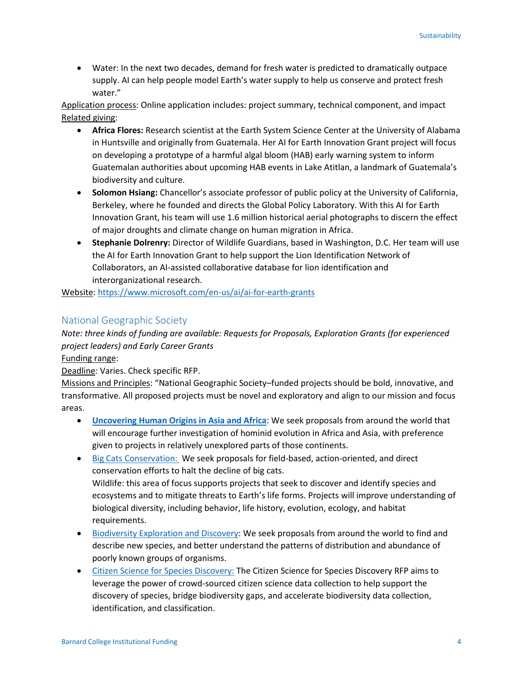Water: In the next two decades, demand for fresh water is predicted to dramatically outpace supply. AI can help people model Earth's water supply to help us conserve and protect fresh water."

Application process: Online application includes: project summary, technical component, and impact Related giving:

- **Africa Flores:** Research scientist at the Earth System Science Center at the University of Alabama in Huntsville and originally from Guatemala. Her AI for Earth Innovation Grant project will focus on developing a prototype of a harmful algal bloom (HAB) early warning system to inform Guatemalan authorities about upcoming HAB events in Lake Atitlan, a landmark of Guatemala's biodiversity and culture.
- **Solomon Hsiang:** Chancellor's associate professor of public policy at the University of California, Berkeley, where he founded and directs the Global Policy Laboratory. With this AI for Earth Innovation Grant, his team will use 1.6 million historical aerial photographs to discern the effect of major droughts and climate change on human migration in Africa.
- **Stephanie Dolrenry:** Director of Wildlife Guardians, based in Washington, D.C. Her team will use the AI for Earth Innovation Grant to help support the Lion Identification Network of Collaborators, an AI-assisted collaborative database for lion identification and interorganizational research.

Website[: https://www.microsoft.com/en-us/ai/ai-for-earth-grants](https://www.microsoft.com/en-us/ai/ai-for-earth-grants)

# National Geographic Society

*Note: three kinds of funding are available: Requests for Proposals, Exploration Grants (for experienced project leaders) and Early Career Grants*

Funding range:

Deadline: Varies. Check specific RFP.

Missions and Principles: "National Geographic Society–funded projects should be bold, innovative, and transformative. All proposed projects must be novel and exploratory and align to our mission and focus areas.

- **[Uncovering Human Origins in Asia and Africa](https://www.nationalgeographic.org/funding-opportunities/grants/what-we-fund/human-origins/)**: We seek proposals from around the world that will encourage further investigation of hominid evolution in Africa and Asia, with preference given to projects in relatively unexplored parts of those continents.
- [Big Cats Conservation: W](https://www.nationalgeographic.org/funding-opportunities/grants/what-we-fund/big-cats-conservation/)e seek proposals for field-based, action-oriented, and direct conservation efforts to halt the decline of big cats. Wildlife: this area of focus supports projects that seek to discover and identify species and ecosystems and to mitigate threats to Earth's life forms. Projects will improve understanding of biological diversity, including behavior, life history, evolution, ecology, and habitat requirements.
- [Biodiversity Exploration and Discovery:](https://www.nationalgeographic.org/funding-opportunities/grants/what-we-fund/biodiversity-exploration-and-discovery/) We seek proposals from around the world to find and describe new species, and better understand the patterns of distribution and abundance of poorly known groups of organisms.
- [Citizen Science for Species Discovery:](https://www.nationalgeographic.org/funding-opportunities/grants/what-we-fund/citizen-science-species-discovery/) The Citizen Science for Species Discovery RFP aims to leverage the power of crowd-sourced citizen science data collection to help support the discovery of species, bridge biodiversity gaps, and accelerate biodiversity data collection, identification, and classification.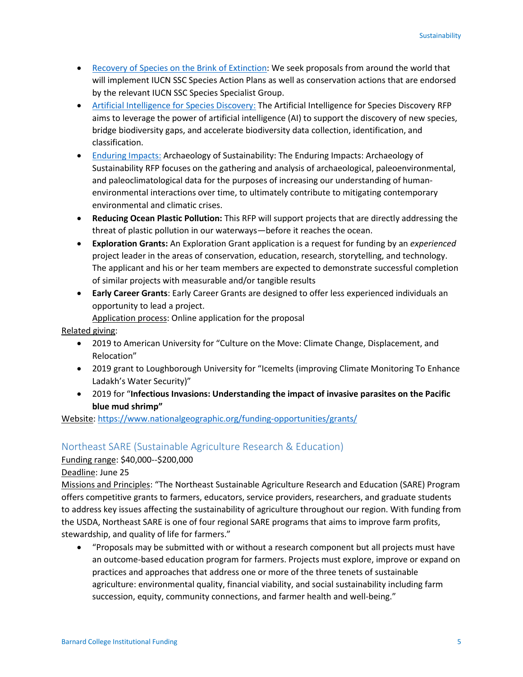- [Recovery of Species on the Brink of Extinction:](https://www.nationalgeographic.org/funding-opportunities/grants/what-we-fund/species-recovery/) We seek proposals from around the world that will implement IUCN SSC Species Action Plans as well as conservation actions that are endorsed by the relevant IUCN SSC Species Specialist Group.
- [Artificial Intelligence for Species Discovery:](https://www.nationalgeographic.org/funding-opportunities/grants/what-we-fund/artificial-intelligence/) The Artificial Intelligence for Species Discovery RFP aims to leverage the power of artificial intelligence (AI) to support the discovery of new species, bridge biodiversity gaps, and accelerate biodiversity data collection, identification, and classification.
- [Enduring Impacts:](https://www.nationalgeographic.org/funding-opportunities/grants/what-we-fund/enduring-impacts/) Archaeology of Sustainability: The Enduring Impacts: Archaeology of Sustainability RFP focuses on the gathering and analysis of archaeological, paleoenvironmental, and paleoclimatological data for the purposes of increasing our understanding of humanenvironmental interactions over time, to ultimately contribute to mitigating contemporary environmental and climatic crises.
- **Reducing Ocean Plastic Pollution:** This RFP will support projects that are directly addressing the threat of plastic pollution in our waterways—before it reaches the ocean.
- **Exploration Grants:** An Exploration Grant application is a request for funding by an *experienced* project leader in the areas of conservation, education, research, storytelling, and technology. The applicant and his or her team members are expected to demonstrate successful completion of similar projects with measurable and/or tangible results
- **Early Career Grants**: Early Career Grants are designed to offer less experienced individuals an opportunity to lead a project.

Application process: Online application for the proposal

Related giving:

- 2019 to American University for "Culture on the Move: Climate Change, Displacement, and Relocation"
- 2019 grant to Loughborough University for "Icemelts (improving Climate Monitoring To Enhance Ladakh's Water Security)"
- 2019 for "**Infectious Invasions: Understanding the impact of invasive parasites on the Pacific blue mud shrimp"**

Website[: https://www.nationalgeographic.org/funding-opportunities/grants/](https://www.nationalgeographic.org/funding-opportunities/grants/)

### Northeast SARE (Sustainable Agriculture Research & Education)

Funding range: \$40,000--\$200,000

Deadline: June 25

Missions and Principles: "The Northeast Sustainable Agriculture Research and Education (SARE) Program offers competitive grants to farmers, educators, service providers, researchers, and graduate students to address key issues affecting the sustainability of agriculture throughout our region. With funding from the USDA, Northeast SARE is one of four regional SARE programs that aims to improve farm profits, stewardship, and quality of life for farmers."

 "Proposals may be submitted with or without a research component but all projects must have an outcome-based education program for farmers. Projects must explore, improve or expand on practices and approaches that address one or more of the three tenets of sustainable agriculture: environmental quality, financial viability, and social sustainability including farm succession, equity, community connections, and farmer health and well-being."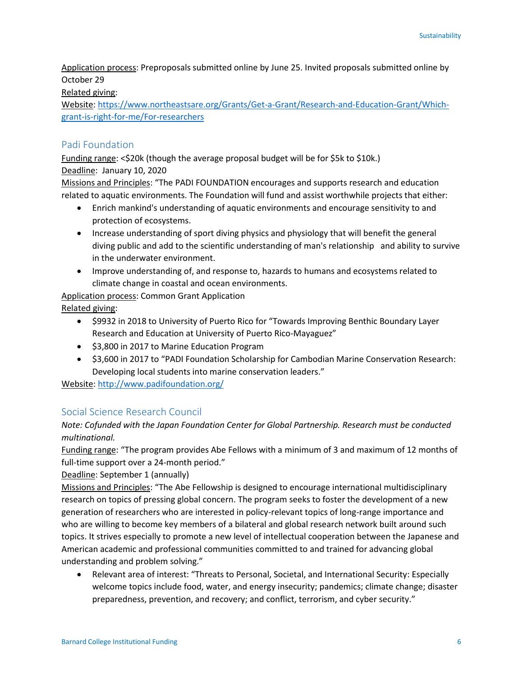Application process: Preproposals submitted online by June 25. Invited proposals submitted online by October 29

#### Related giving:

Website[: https://www.northeastsare.org/Grants/Get-a-Grant/Research-and-Education-Grant/Which](https://www.northeastsare.org/Grants/Get-a-Grant/Research-and-Education-Grant/Which-grant-is-right-for-me/For-researchers)[grant-is-right-for-me/For-researchers](https://www.northeastsare.org/Grants/Get-a-Grant/Research-and-Education-Grant/Which-grant-is-right-for-me/For-researchers)

### Padi Foundation

Funding range: <\$20k (though the average proposal budget will be for \$5k to \$10k.)

### Deadline: January 10, 2020

Missions and Principles: "The PADI FOUNDATION encourages and supports research and education related to aquatic environments. The Foundation will fund and assist worthwhile projects that either:

- Enrich mankind's understanding of aquatic environments and encourage sensitivity to and protection of ecosystems.
- Increase understanding of sport diving physics and physiology that will benefit the general diving public and add to the scientific understanding of man's relationship and ability to survive in the underwater environment.
- Improve understanding of, and response to, hazards to humans and ecosystems related to climate change in coastal and ocean environments.

Application process: Common Grant Application

Related giving:

- \$9932 in 2018 to University of Puerto Rico for "Towards Improving Benthic Boundary Layer Research and Education at University of Puerto Rico-Mayaguez"
- \$3,800 in 2017 to Marine Education Program
- $\bullet$  \$3,600 in 2017 to "PADI Foundation Scholarship for Cambodian Marine Conservation Research: Developing local students into marine conservation leaders."

Website[: http://www.padifoundation.org/](http://www.padifoundation.org/)

# Social Science Research Council

# *Note: Cofunded with the Japan Foundation Center for Global Partnership. Research must be conducted multinational.*

Funding range: "The program provides Abe Fellows with a minimum of 3 and maximum of 12 months of full-time support over a 24-month period."

Deadline: September 1 (annually)

Missions and Principles: "The Abe Fellowship is designed to encourage international multidisciplinary research on topics of pressing global concern. The program seeks to foster the development of a new generation of researchers who are interested in policy-relevant topics of long-range importance and who are willing to become key members of a bilateral and global research network built around such topics. It strives especially to promote a new level of intellectual cooperation between the Japanese and American academic and professional communities committed to and trained for advancing global understanding and problem solving."

 Relevant area of interest: "Threats to Personal, Societal, and International Security: Especially welcome topics include food, water, and energy insecurity; pandemics; climate change; disaster preparedness, prevention, and recovery; and conflict, terrorism, and cyber security."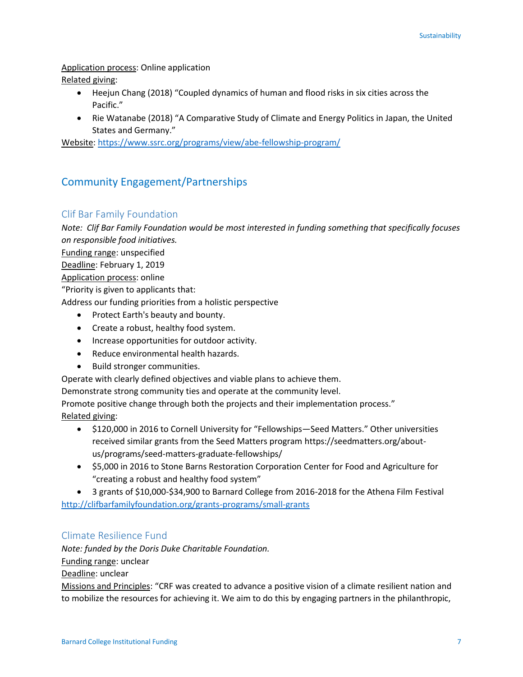Application process: Online application Related giving:

- Heejun Chang (2018) "Coupled dynamics of human and flood risks in six cities across the Pacific."
- Rie Watanabe (2018) "A Comparative Study of Climate and Energy Politics in Japan, the United States and Germany."

Website[: https://www.ssrc.org/programs/view/abe-fellowship-program/](https://www.ssrc.org/programs/view/abe-fellowship-program/)

# Community Engagement/Partnerships

# Clif Bar Family Foundation

*Note: Clif Bar Family Foundation would be most interested in funding something that specifically focuses on responsible food initiatives.* 

Funding range: unspecified

Deadline: February 1, 2019

Application process: online

"Priority is given to applicants that:

Address our funding priorities from a holistic perspective

- Protect Earth's beauty and bounty.
- Create a robust, healthy food system.
- Increase opportunities for outdoor activity.
- Reduce environmental health hazards.
- Build stronger communities.

Operate with clearly defined objectives and viable plans to achieve them.

Demonstrate strong community ties and operate at the community level.

Promote positive change through both the projects and their implementation process."

Related giving:

- \$120,000 in 2016 to Cornell University for "Fellowships—Seed Matters." Other universities received similar grants from the Seed Matters program https://seedmatters.org/aboutus/programs/seed-matters-graduate-fellowships/
- \$5,000 in 2016 to Stone Barns Restoration Corporation Center for Food and Agriculture for "creating a robust and healthy food system"

 3 grants of \$10,000-\$34,900 to Barnard College from 2016-2018 for the Athena Film Festival <http://clifbarfamilyfoundation.org/grants-programs/small-grants>

# Climate Resilience Fund

*Note: funded by the Doris Duke Charitable Foundation.* 

Funding range: unclear

Deadline: unclear

Missions and Principles: "CRF was created to advance a positive vision of a climate resilient nation and to mobilize the resources for achieving it. We aim to do this by engaging partners in the philanthropic,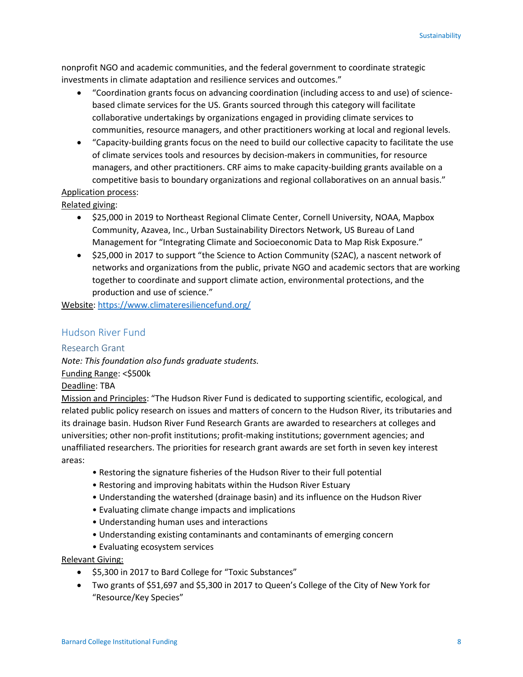nonprofit NGO and academic communities, and the federal government to coordinate strategic investments in climate adaptation and resilience services and outcomes."

- "Coordination grants focus on advancing coordination (including access to and use) of sciencebased climate services for the US. Grants sourced through this category will facilitate collaborative undertakings by organizations engaged in providing climate services to communities, resource managers, and other practitioners working at local and regional levels.
- "Capacity-building grants focus on the need to build our collective capacity to facilitate the use of climate services tools and resources by decision-makers in communities, for resource managers, and other practitioners. CRF aims to make capacity-building grants available on a competitive basis to boundary organizations and regional collaboratives on an annual basis."

# Application process:

Related giving:

- \$25,000 in 2019 to Northeast Regional Climate Center, Cornell University, NOAA, Mapbox Community, Azavea, Inc., Urban Sustainability Directors Network, US Bureau of Land Management for "Integrating Climate and Socioeconomic Data to Map Risk Exposure."
- \$25,000 in 2017 to support "the Science to Action Community (S2AC), a nascent network of networks and organizations from the public, private NGO and academic sectors that are working together to coordinate and support climate action, environmental protections, and the production and use of science."

Website[: https://www.climateresiliencefund.org/](https://www.climateresiliencefund.org/)

### Hudson River Fund

### Research Grant

*Note: This foundation also funds graduate students.* Funding Range: <\$500k

#### Deadline: TBA

Mission and Principles: "The Hudson River Fund is dedicated to supporting scientific, ecological, and related public policy research on issues and matters of concern to the Hudson River, its tributaries and its drainage basin. Hudson River Fund Research Grants are awarded to researchers at colleges and universities; other non-profit institutions; profit-making institutions; government agencies; and unaffiliated researchers. The priorities for research grant awards are set forth in seven key interest areas:

- Restoring the signature fisheries of the Hudson River to their full potential
- Restoring and improving habitats within the Hudson River Estuary
- Understanding the watershed (drainage basin) and its influence on the Hudson River
- Evaluating climate change impacts and implications
- Understanding human uses and interactions
- Understanding existing contaminants and contaminants of emerging concern
- Evaluating ecosystem services

#### Relevant Giving:

- $\bullet$  \$5,300 in 2017 to Bard College for "Toxic Substances"
- Two grants of \$51,697 and \$5,300 in 2017 to Queen's College of the City of New York for "Resource/Key Species"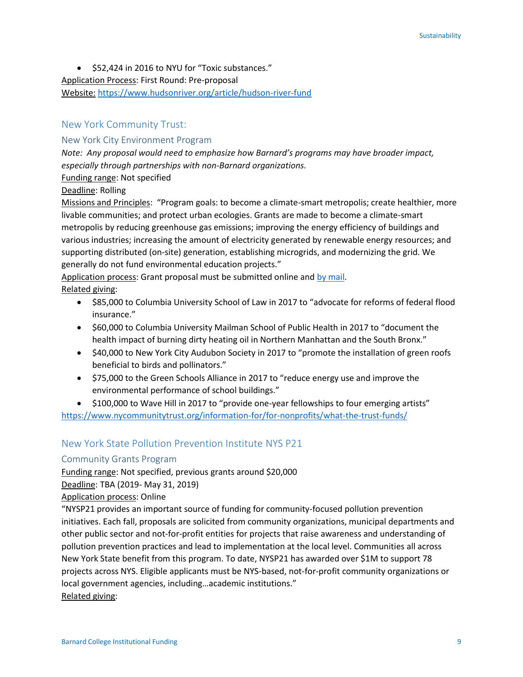$\bullet$  \$52,424 in 2016 to NYU for "Toxic substances." Application Process: First Round: Pre-proposal Website: <https://www.hudsonriver.org/article/hudson-river-fund>

# New York Community Trust:

#### New York City Environment Program

*Note: Any proposal would need to emphasize how Barnard's programs may have broader impact, especially through partnerships with non-Barnard organizations.*

Funding range: Not specified

#### Deadline: Rolling

Missions and Principles: "Program goals: to become a climate-smart metropolis; create healthier, more livable communities; and protect urban ecologies. Grants are made to become a climate-smart metropolis by reducing greenhouse gas emissions; improving the energy efficiency of buildings and various industries; increasing the amount of electricity generated by renewable energy resources; and supporting distributed (on-site) generation, establishing microgrids, and modernizing the grid. We generally do not fund environmental education projects."

Application process: Grant proposal must be submitted online and [by mail.](https://www.nycommunitytrust.org/information-for/for-nonprofits/) Related giving:

- \$85,000 to Columbia University School of Law in 2017 to "advocate for reforms of federal flood insurance."
- \$60,000 to Columbia University Mailman School of Public Health in 2017 to "document the health impact of burning dirty heating oil in Northern Manhattan and the South Bronx."
- \$40,000 to New York City Audubon Society in 2017 to "promote the installation of green roofs beneficial to birds and pollinators."
- \$75,000 to the Green Schools Alliance in 2017 to "reduce energy use and improve the environmental performance of school buildings."
- \$100,000 to Wave Hill in 2017 to "provide one-year fellowships to four emerging artists" <https://www.nycommunitytrust.org/information-for/for-nonprofits/what-the-trust-funds/>

# New York State Pollution Prevention Institute NYS P21

### Community Grants Program

Funding range: Not specified, previous grants around \$20,000

Deadline: TBA (2019- May 31, 2019)

Application process: Online

"NYSP21 provides an important source of funding for community-focused pollution prevention initiatives. Each fall, proposals are solicited from community organizations, municipal departments and other public sector and not-for-profit entities for projects that raise awareness and understanding of pollution prevention practices and lead to implementation at the local level. Communities all across New York State benefit from this program. To date, NYSP21 has awarded over \$1M to support 78 projects across NYS. Eligible applicants must be NYS-based, not-for-profit community organizations or local government agencies, including…academic institutions." Related giving: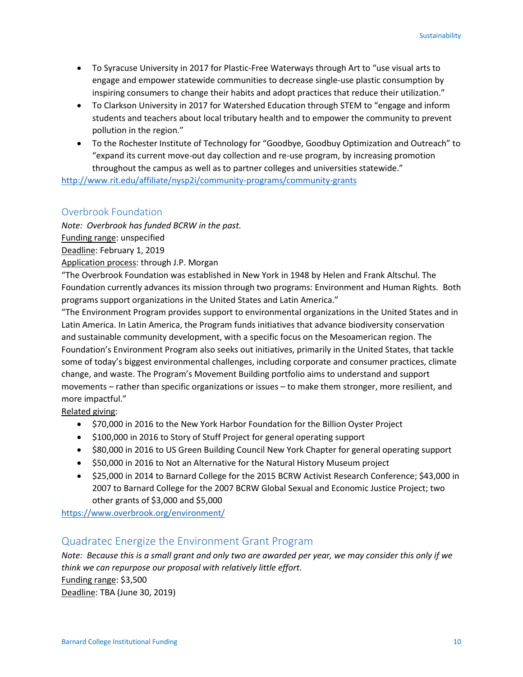- To Syracuse University in 2017 for Plastic-Free Waterways through Art to "use visual arts to engage and empower statewide communities to decrease single-use plastic consumption by inspiring consumers to change their habits and adopt practices that reduce their utilization."
- To Clarkson University in 2017 for Watershed Education through STEM to "engage and inform students and teachers about local tributary health and to empower the community to prevent pollution in the region."
- To the Rochester Institute of Technology for "Goodbye, Goodbuy Optimization and Outreach" to "expand its current move-out day collection and re-use program, by increasing promotion throughout the campus as well as to partner colleges and universities statewide."

<http://www.rit.edu/affiliate/nysp2i/community-programs/community-grants>

### Overbrook Foundation

*Note: Overbrook has funded BCRW in the past.*

Funding range: unspecified

Deadline: February 1, 2019

Application process: through J.P. Morgan

"The Overbrook Foundation was established in New York in 1948 by Helen and Frank Altschul. The Foundation currently advances its mission through two programs: Environment and Human Rights. Both programs support organizations in the United States and Latin America."

"The Environment Program provides support to environmental organizations in the United States and in Latin America. In Latin America, the Program funds initiatives that advance biodiversity conservation and sustainable community development, with a specific focus on the Mesoamerican region. The Foundation's Environment Program also seeks out initiatives, primarily in the United States, that tackle some of today's biggest environmental challenges, including corporate and consumer practices, climate change, and waste. The Program's Movement Building portfolio aims to understand and support movements – rather than specific organizations or issues – to make them stronger, more resilient, and more impactful."

Related giving:

- \$70,000 in 2016 to the New York Harbor Foundation for the Billion Oyster Project
- \$100,000 in 2016 to Story of Stuff Project for general operating support
- \$80,000 in 2016 to US Green Building Council New York Chapter for general operating support
- \$50,000 in 2016 to Not an Alternative for the Natural History Museum project
- \$25,000 in 2014 to Barnard College for the 2015 BCRW Activist Research Conference; \$43,000 in 2007 to Barnard College for the 2007 BCRW Global Sexual and Economic Justice Project; two other grants of \$3,000 and \$5,000

https://www.overbrook.org/environment/

# Quadratec Energize the Environment Grant Program

*Note: Because this is a small grant and only two are awarded per year, we may consider this only if we think we can repurpose our proposal with relatively little effort.* Funding range: \$3,500 Deadline: TBA (June 30, 2019)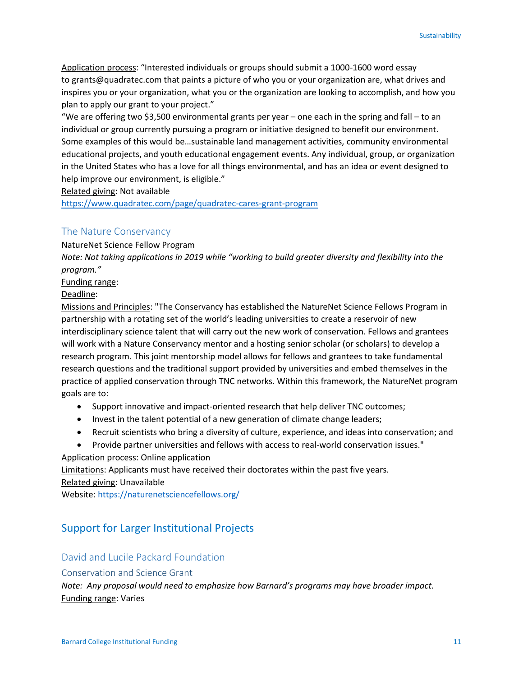Application process: "Interested individuals or groups should submit a 1000-1600 word essay to [grants@quadratec.com](mailto:grants@quadratec.com) that paints a picture of who you or your organization are, what drives and inspires you or your organization, what you or the organization are looking to accomplish, and how you plan to apply our grant to your project."

"We are offering two \$3,500 environmental grants per year – one each in the spring and fall – to an individual or group currently pursuing a program or initiative designed to benefit our environment. Some examples of this would be…sustainable land management activities, community environmental educational projects, and youth educational engagement events. Any individual, group, or organization in the United States who has a love for all things environmental, and has an idea or event designed to help improve our environment, is eligible."

Related giving: Not available

<https://www.quadratec.com/page/quadratec-cares-grant-program>

### The Nature Conservancy

NatureNet Science Fellow Program

*Note: Not taking applications in 2019 while "working to build greater diversity and flexibility into the program."*

Funding range:

Deadline:

Missions and Principles: "The Conservancy has established the NatureNet Science Fellows Program in partnership with a rotating set of the world's leading universities to create a reservoir of new interdisciplinary science talent that will carry out the new work of conservation. Fellows and grantees will work with a Nature Conservancy mentor and a hosting senior scholar (or scholars) to develop a research program. This joint mentorship model allows for fellows and grantees to take fundamental research questions and the traditional support provided by universities and embed themselves in the practice of applied conservation through TNC networks. Within this framework, the NatureNet program goals are to:

- Support innovative and impact-oriented research that help deliver TNC outcomes;
- Invest in the talent potential of a new generation of climate change leaders;
- Recruit scientists who bring a diversity of culture, experience, and ideas into conservation; and
- Provide partner universities and fellows with access to real-world conservation issues."

Application process: Online application

Limitations: Applicants must have received their doctorates within the past five years.

Related giving: Unavailable

Website[: https://naturenetsciencefellows.org/](https://naturenetsciencefellows.org/)

# Support for Larger Institutional Projects

### David and Lucile Packard Foundation

#### Conservation and Science Grant

*Note: Any proposal would need to emphasize how Barnard's programs may have broader impact.* Funding range: Varies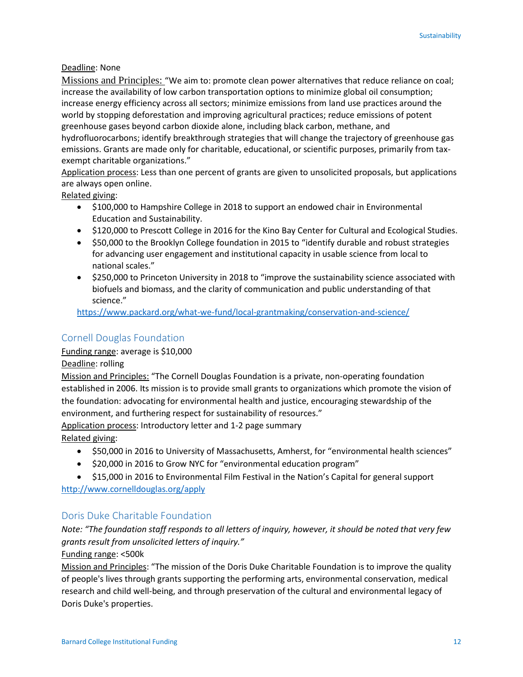#### Deadline: None

Missions and Principles: "We aim to: promote clean power alternatives that reduce reliance on coal; increase the availability of low carbon transportation options to minimize global oil consumption; increase energy efficiency across all sectors; minimize emissions from land use practices around the world by stopping deforestation and improving agricultural practices; reduce emissions of potent greenhouse gases beyond carbon dioxide alone, including black carbon, methane, and hydrofluorocarbons; identify breakthrough strategies that will change the trajectory of greenhouse gas emissions. Grants are made only for charitable, educational, or scientific purposes, primarily from taxexempt charitable organizations."

Application process: Less than one percent of grants are given to unsolicited proposals, but applications are always open online.

Related giving:

- \$100,000 to Hampshire College in 2018 to support an endowed chair in Environmental Education and Sustainability.
- \$120,000 to Prescott College in 2016 for the Kino Bay Center for Cultural and Ecological Studies.
- \$50,000 to the Brooklyn College foundation in 2015 to "identify durable and robust strategies for advancing user engagement and institutional capacity in usable science from local to national scales."
- \$250,000 to Princeton University in 2018 to "improve the sustainability science associated with biofuels and biomass, and the clarity of communication and public understanding of that science."

<https://www.packard.org/what-we-fund/local-grantmaking/conservation-and-science/>

# Cornell Douglas Foundation

#### Funding range: average is \$10,000

Deadline: rolling

Mission and Principles: "The Cornell Douglas Foundation is a private, non-operating foundation established in 2006. Its mission is to provide small grants to organizations which promote the vision of the foundation: advocating for environmental health and justice, encouraging stewardship of the environment, and furthering respect for sustainability of resources."

Application process: Introductory letter and 1-2 page summary Related giving:

- \$50,000 in 2016 to University of Massachusetts, Amherst, for "environmental health sciences"
- $\bullet$  \$20,000 in 2016 to Grow NYC for "environmental education program"
- \$15,000 in 2016 to Environmental Film Festival in the Nation's Capital for general support

http://www.cornelldouglas.org/apply

### Doris Duke Charitable Foundation

*Note: "The foundation staff responds to all letters of inquiry, however, it should be noted that very few grants result from unsolicited letters of inquiry."*

#### Funding range: <500k

Mission and Principles: "The mission of the Doris Duke Charitable Foundation is to improve the quality of people's lives through grants supporting the performing arts, environmental conservation, medical research and child well-being, and through preservation of the cultural and environmental legacy of Doris Duke's properties.